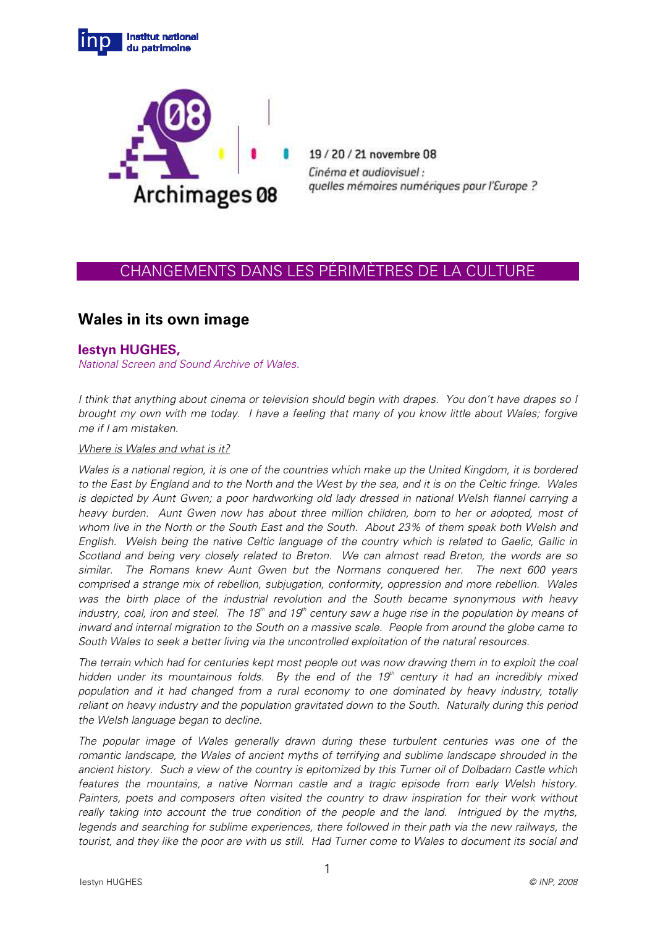



19/20/21 novembre 08 Cinéma et audiovisuel : quelles mémoires numériques pour l'Europe ?

## CHANGEMENTS DANS LES PÉRIMÈTRES DE LA CULTURE

# **Wales in its own image**

## **Iestyn HUGHES,**

National Screen and Sound Archive of Wales.

I think that anything about cinema or television should begin with drapes. You don't have drapes so I brought my own with me today. I have a feeling that many of you know little about Wales; forgive me if I am mistaken.

## Where is Wales and what is it?

Wales is a national region, it is one of the countries which make up the United Kingdom, it is bordered to the East by England and to the North and the West by the sea, and it is on the Celtic fringe. Wales is depicted by Aunt Gwen; a poor hardworking old lady dressed in national Welsh flannel carrying a heavy burden. Aunt Gwen now has about three million children, born to her or adopted, most of whom live in the North or the South East and the South. About 23% of them speak both Welsh and English. Welsh being the native Celtic language of the country which is related to Gaelic, Gallic in Scotland and being very closely related to Breton. We can almost read Breton, the words are so similar. The Romans knew Aunt Gwen but the Normans conquered her. The next 600 years comprised a strange mix of rebellion, subjugation, conformity, oppression and more rebellion. Wales was the birth place of the industrial revolution and the South became synonymous with heavy industry, coal, iron and steel. The 18<sup>th</sup> and 19<sup>th</sup> century saw a huge rise in the population by means of inward and internal migration to the South on a massive scale. People from around the globe came to South Wales to seek a better living via the uncontrolled exploitation of the natural resources.

The terrain which had for centuries kept most people out was now drawing them in to exploit the coal hidden under its mountainous folds. By the end of the 19<sup>th</sup> century it had an incredibly mixed population and it had changed from a rural economy to one dominated by heavy industry, totally reliant on heavy industry and the population gravitated down to the South. Naturally during this period the Welsh language began to decline.

The popular image of Wales generally drawn during these turbulent centuries was one of the romantic landscape, the Wales of ancient myths of terrifying and sublime landscape shrouded in the ancient history. Such a view of the country is epitomized by this Turner oil of Dolbadarn Castle which features the mountains, a native Norman castle and a tragic episode from early Welsh history. Painters, poets and composers often visited the country to draw inspiration for their work without really taking into account the true condition of the people and the land. Intrigued by the myths, legends and searching for sublime experiences, there followed in their path via the new railways, the tourist, and they like the poor are with us still. Had Turner come to Wales to document its social and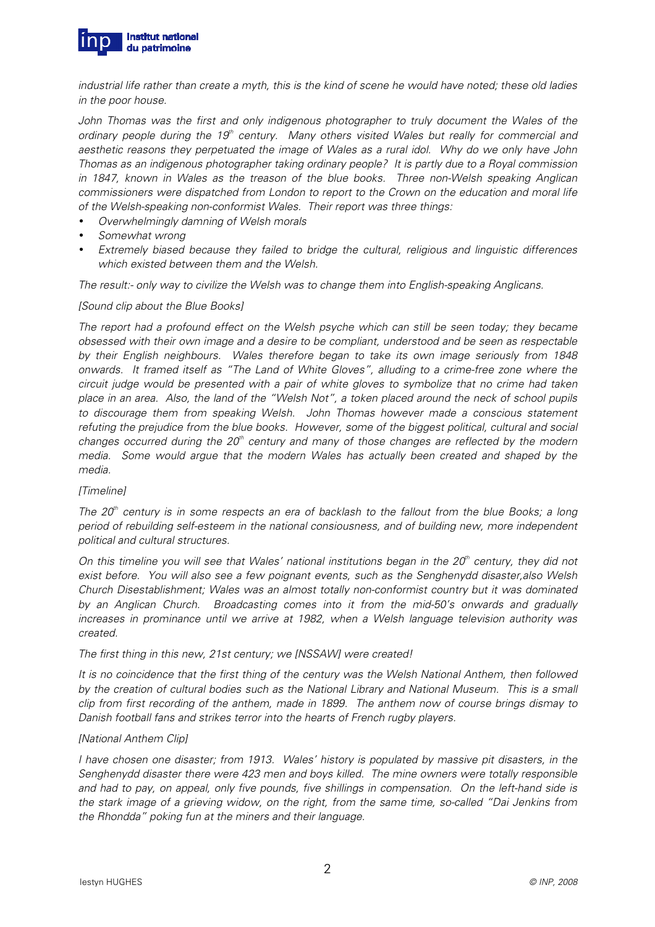

industrial life rather than create a myth, this is the kind of scene he would have noted; these old ladies in the poor house.

John Thomas was the first and only indigenous photographer to truly document the Wales of the ordinary people during the 19<sup>th</sup> century. Many others visited Wales but really for commercial and aesthetic reasons they perpetuated the image of Wales as a rural idol. Why do we only have John Thomas as an indigenous photographer taking ordinary people? It is partly due to a Royal commission in 1847, known in Wales as the treason of the blue books. Three non-Welsh speaking Anglican commissioners were dispatched from London to report to the Crown on the education and moral life of the Welsh-speaking non-conformist Wales. Their report was three things:

- Overwhelmingly damning of Welsh morals
- Somewhat wrong
- Extremely biased because they failed to bridge the cultural, religious and linguistic differences which existed between them and the Welsh.

The result:- only way to civilize the Welsh was to change them into English-speaking Anglicans.

#### [Sound clip about the Blue Books]

The report had a profound effect on the Welsh psyche which can still be seen today; they became obsessed with their own image and a desire to be compliant, understood and be seen as respectable by their English neighbours. Wales therefore began to take its own image seriously from 1848 onwards. It framed itself as "The Land of White Gloves", alluding to a crime-free zone where the circuit judge would be presented with a pair of white gloves to symbolize that no crime had taken place in an area. Also, the land of the "Welsh Not", a token placed around the neck of school pupils to discourage them from speaking Welsh. John Thomas however made a conscious statement refuting the prejudice from the blue books. However, some of the biggest political, cultural and social changes occurred during the  $20<sup>th</sup>$  century and many of those changes are reflected by the modern media. Some would argue that the modern Wales has actually been created and shaped by the media.

## [Timeline]

The  $20<sup>th</sup>$  century is in some respects an era of backlash to the fallout from the blue Books; a long period of rebuilding self-esteem in the national consiousness, and of building new, more independent political and cultural structures.

On this timeline you will see that Wales' national institutions began in the  $20<sup>th</sup>$  century, they did not exist before. You will also see a few poignant events, such as the Senghenydd disaster,also Welsh Church Disestablishment; Wales was an almost totally non-conformist country but it was dominated by an Anglican Church. Broadcasting comes into it from the mid-50's onwards and gradually increases in prominance until we arrive at 1982, when a Welsh language television authority was created.

#### The first thing in this new, 21st century; we [NSSAW] were created!

It is no coincidence that the first thing of the century was the Welsh National Anthem, then followed by the creation of cultural bodies such as the National Library and National Museum. This is a small clip from first recording of the anthem, made in 1899. The anthem now of course brings dismay to Danish football fans and strikes terror into the hearts of French rugby players.

## [National Anthem Clip]

I have chosen one disaster; from 1913. Wales' history is populated by massive pit disasters, in the Senghenydd disaster there were 423 men and boys killed. The mine owners were totally responsible and had to pay, on appeal, only five pounds, five shillings in compensation. On the left-hand side is the stark image of a grieving widow, on the right, from the same time, so-called "Dai Jenkins from the Rhondda" poking fun at the miners and their language.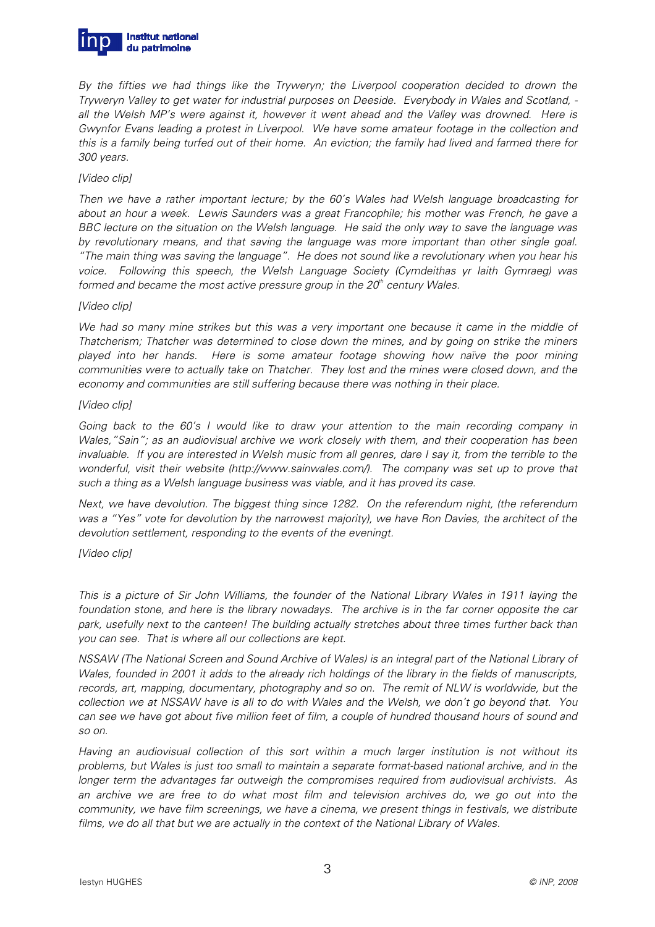

By the fifties we had things like the Tryweryn; the Liverpool cooperation decided to drown the Tryweryn Valley to get water for industrial purposes on Deeside. Everybody in Wales and Scotland, all the Welsh MP's were against it, however it went ahead and the Valley was drowned. Here is Gwynfor Evans leading a protest in Liverpool. We have some amateur footage in the collection and this is a family being turfed out of their home. An eviction; the family had lived and farmed there for 300 years.

#### [Video clip]

Then we have a rather important lecture; by the 60's Wales had Welsh language broadcasting for about an hour a week. Lewis Saunders was a great Francophile; his mother was French, he gave a BBC lecture on the situation on the Welsh language. He said the only way to save the language was by revolutionary means, and that saving the language was more important than other single goal. "The main thing was saving the language". He does not sound like a revolutionary when you hear his voice. Following this speech, the Welsh Language Society (Cymdeithas yr Iaith Gymraeg) was formed and became the most active pressure group in the  $20<sup>th</sup>$  century Wales.

#### [Video clip]

We had so many mine strikes but this was a very important one because it came in the middle of Thatcherism; Thatcher was determined to close down the mines, and by going on strike the miners played into her hands. Here is some amateur footage showing how naïve the poor mining communities were to actually take on Thatcher. They lost and the mines were closed down, and the economy and communities are still suffering because there was nothing in their place.

#### [Video clip]

Going back to the 60's I would like to draw your attention to the main recording company in Wales,"Sain"; as an audiovisual archive we work closely with them, and their cooperation has been invaluable. If you are interested in Welsh music from all genres, dare I say it, from the terrible to the wonderful, visit their website (http://www.sainwales.com/). The company was set up to prove that such a thing as a Welsh language business was viable, and it has proved its case.

Next, we have devolution. The biggest thing since 1282. On the referendum night, (the referendum was a "Yes" vote for devolution by the narrowest majority), we have Ron Davies, the architect of the devolution settlement, responding to the events of the eveningt.

## [Video clip]

This is a picture of Sir John Williams, the founder of the National Library Wales in 1911 laying the foundation stone, and here is the library nowadays. The archive is in the far corner opposite the car park, usefully next to the canteen! The building actually stretches about three times further back than you can see. That is where all our collections are kept.

NSSAW (The National Screen and Sound Archive of Wales) is an integral part of the National Library of Wales, founded in 2001 it adds to the already rich holdings of the library in the fields of manuscripts, records, art, mapping, documentary, photography and so on. The remit of NLW is worldwide, but the collection we at NSSAW have is all to do with Wales and the Welsh, we don't go beyond that. You can see we have got about five million feet of film, a couple of hundred thousand hours of sound and so on.

Having an audiovisual collection of this sort within a much larger institution is not without its problems, but Wales is just too small to maintain a separate format-based national archive, and in the longer term the advantages far outweigh the compromises required from audiovisual archivists. As an archive we are free to do what most film and television archives do, we go out into the community, we have film screenings, we have a cinema, we present things in festivals, we distribute films, we do all that but we are actually in the context of the National Library of Wales.